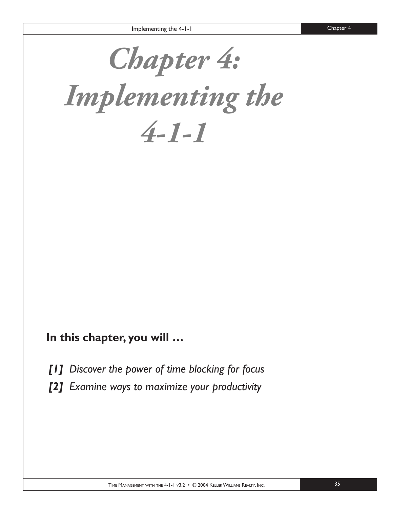*Chapter 4:* 

*Implementing the 4-1-1*

### **In this chapter, you will …**

- *[1] Discover the power of time blocking for focus*
- *[2] Examine ways to maximize your productivity*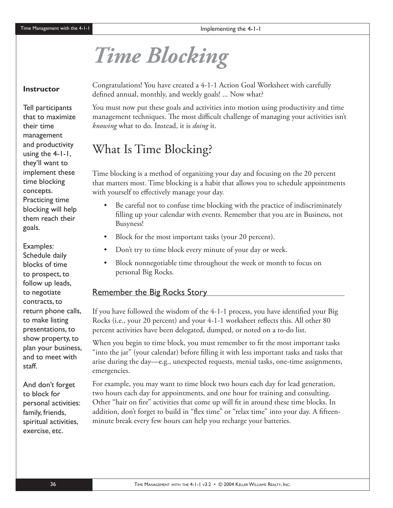# *Time Blocking*

#### **Instructor**

Tell participants that to maximize their time management and productivity using the 4-1-1, they'll want to implement these time blocking concepts. Practicing time blocking will help them reach their goals.

Examples: Schedule daily blocks of time to prospect, to follow up leads, to negotiate contracts, to return phone calls, to make listing presentations, to show property, to plan your business, and to meet with staff.

And don't forget to block for personal activities: family, friends, spiritual activities, exercise, etc.

Congratulations! You have created a 4-1-1 Action Goal Worksheet with carefully defined annual, monthly, and weekly goals! ... Now what?

You must now put these goals and activities into motion using productivity and time management techniques. The most difficult challenge of managing your activities isn't *knowing* what to do. Instead, it is *doing* it.

## What Is Time Blocking?

Time blocking is a method of organizing your day and focusing on the 20 percent that matters most. Time blocking is a habit that allows you to schedule appointments with yourself to effectively manage your day.

- Be careful not to confuse time blocking with the practice of indiscriminately filling up your calendar with events. Remember that you are in Business, not Busyness!
- Block for the most important tasks (your 20 percent).
- Don't try to time block every minute of your day or week.
- Block nonnegotiable time throughout the week or month to focus on personal Big Rocks.

#### Remember the Big Rocks Story

If you have followed the wisdom of the  $4-1-1$  process, you have identified your Big Rocks (i.e., your 20 percent) and your 4-1-1 worksheet reflects this. All other 80 percent activities have been delegated, dumped, or noted on a to-do list.

When you begin to time block, you must remember to fit the most important tasks "into the jar" (your calendar) before filling it with less important tasks and tasks that arise during the day—e.g., unexpected requests, menial tasks, one-time assignments, emergencies.

For example, you may want to time block two hours each day for lead generation, two hours each day for appointments, and one hour for training and consulting. Other "hair on fire" activities that come up will fit in around these time blocks. In addition, don't forget to build in "flex time" or "relax time" into your day. A fifteenminute break every few hours can help you recharge your batteries.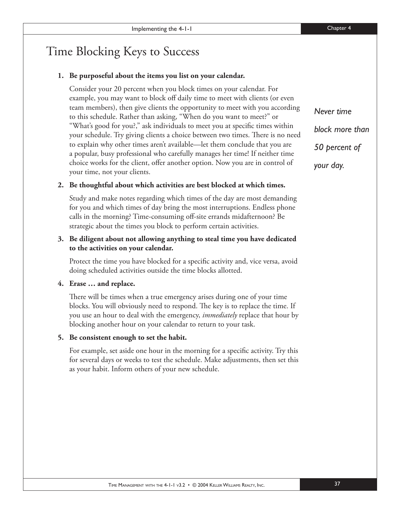## Time Blocking Keys to Success

#### **1. Be purposeful about the items you list on your calendar.**

Consider your 20 percent when you block times on your calendar. For example, you may want to block off daily time to meet with clients (or even team members), then give clients the opportunity to meet with you according to this schedule. Rather than asking, "When do you want to meet?" or "What's good for you?," ask individuals to meet you at specific times within your schedule. Try giving clients a choice between two times. There is no need to explain why other times aren't available—let them conclude that you are a popular, busy professional who carefully manages her time! If neither time choice works for the client, offer another option. Now you are in control of your time, not your clients.

#### **2. Be thoughtful about which activities are best blocked at which times.**

Study and make notes regarding which times of the day are most demanding for you and which times of day bring the most interruptions. Endless phone calls in the morning? Time-consuming off -site errands midafternoon? Be strategic about the times you block to perform certain activities.

#### **3. Be diligent about not allowing anything to steal time you have dedicated to the activities on your calendar.**

Protect the time you have blocked for a specific activity and, vice versa, avoid doing scheduled activities outside the time blocks allotted.

#### **4. Erase … and replace.**

There will be times when a true emergency arises during one of your time blocks. You will obviously need to respond. The key is to replace the time. If you use an hour to deal with the emergency, *immediately* replace that hour by blocking another hour on your calendar to return to your task.

#### **5. Be consistent enough to set the habit.**

For example, set aside one hour in the morning for a specific activity. Try this for several days or weeks to test the schedule. Make adjustments, then set this as your habit. Inform others of your new schedule.

*Never time block more than 50 percent of your day.*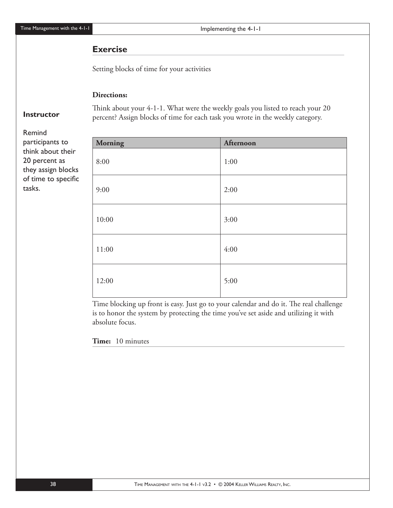Time Management with the 4-1-1

Implementing the 4-1-1

#### **Exercise**

Setting blocks of time for your activities

#### **Directions:**

#### **Instructor**

Remind participants to think about their 20 percent as they assign blocks of time to specific tasks.

| <b>Morning</b> | Afternoon |
|----------------|-----------|
| 8:00           | 1:00      |
| 9:00           | 2:00      |
| 10:00          | 3:00      |
| 11:00          | 4:00      |
| 12:00          | 5:00      |

Think about your 4-1-1. What were the weekly goals you listed to reach your 20 percent? Assign blocks of time for each task you wrote in the weekly category.

Time blocking up front is easy. Just go to your calendar and do it. The real challenge is to honor the system by protecting the time you've set aside and utilizing it with absolute focus.

#### **Time:** 10 minutes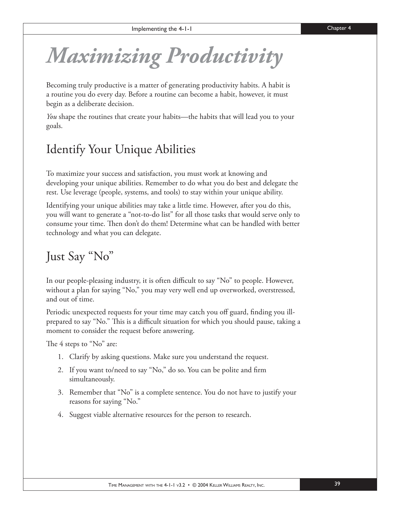*Maximizing Productivity*

Becoming truly productive is a matter of generating productivity habits. A habit is a routine you do every day. Before a routine can become a habit, however, it must begin as a deliberate decision.

*You* shape the routines that create your habits—the habits that will lead you to your goals.

## Identify Your Unique Abilities

To maximize your success and satisfaction, you must work at knowing and developing your unique abilities. Remember to do what you do best and delegate the rest. Use leverage (people, systems, and tools) to stay within your unique ability.

Identifying your unique abilities may take a little time. However, after you do this, you will want to generate a "not-to-do list" for all those tasks that would serve only to consume your time. Then don't do them! Determine what can be handled with better technology and what you can delegate.

## Just Say "No"

In our people-pleasing industry, it is often difficult to say "No" to people. However, without a plan for saying "No," you may very well end up overworked, overstressed, and out of time.

Periodic unexpected requests for your time may catch you off guard, finding you illprepared to say "No." This is a difficult situation for which you should pause, taking a moment to consider the request before answering.

The  $4$  steps to "No" are:

- 1. Clarify by asking questions. Make sure you understand the request.
- 2. If you want to/need to say "No," do so. You can be polite and firm simultaneously.
- 3. Remember that "No" is a complete sentence. You do not have to justify your reasons for saying "No."
- 4. Suggest viable alternative resources for the person to research.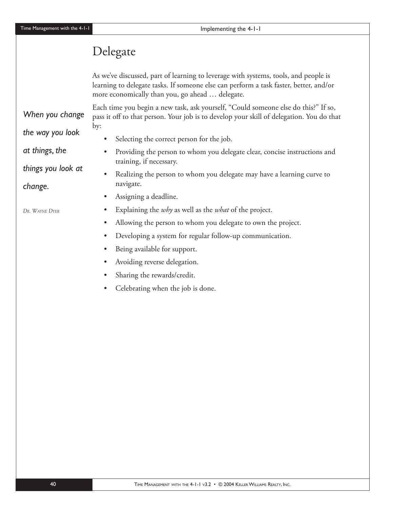## Delegate

As we've discussed, part of learning to leverage with systems, tools, and people is learning to delegate tasks. If someone else can perform a task faster, better, and/or more economically than you, go ahead … delegate.

Each time you begin a new task, ask yourself, "Could someone else do this?" If so, pass it off to that person. Your job is to develop your skill of delegation. You do that by:

*When you change the way you look* 

*things you look at* 

*at things, the* 

*change.* 

*DR. WAYNE DYER*

- Selecting the correct person for the job.
- Providing the person to whom you delegate clear, concise instructions and training, if necessary.
- Realizing the person to whom you delegate may have a learning curve to navigate.
- Assigning a deadline.
- Explaining the *why* as well as the *what* of the project.
- Allowing the person to whom you delegate to own the project.
- Developing a system for regular follow-up communication.
- Being available for support.
- Avoiding reverse delegation.
- Sharing the rewards/credit.
- Celebrating when the job is done.

40 **TIME MANAGEMENT WITH THE 4-1-1 V3.2 • © 2004 KELLER WILLIAMS REALTY, INC.**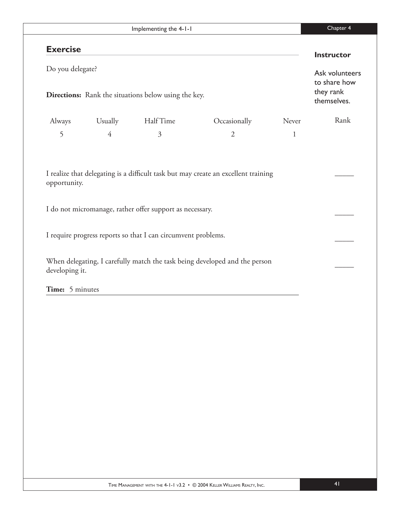| Implementing the 4-1-1                                                          |                |                                                               |                                                                            |              | Chapter 4                                                  |  |
|---------------------------------------------------------------------------------|----------------|---------------------------------------------------------------|----------------------------------------------------------------------------|--------------|------------------------------------------------------------|--|
| <b>Exercise</b>                                                                 |                |                                                               |                                                                            |              | <b>Instructor</b>                                          |  |
| Do you delegate?<br><b>Directions:</b> Rank the situations below using the key. |                |                                                               |                                                                            |              | Ask volunteers<br>to share how<br>they rank<br>themselves. |  |
| Always                                                                          | Usually        | Half Time                                                     | Occasionally                                                               | Never        | Rank                                                       |  |
| 5                                                                               | $\overline{4}$ | 3                                                             | $\overline{2}$                                                             | $\mathbf{1}$ |                                                            |  |
| opportunity.                                                                    |                |                                                               |                                                                            |              |                                                            |  |
|                                                                                 |                | I do not micromanage, rather offer support as necessary.      |                                                                            |              |                                                            |  |
|                                                                                 |                | I require progress reports so that I can circumvent problems. |                                                                            |              |                                                            |  |
| developing it.                                                                  |                |                                                               | When delegating, I carefully match the task being developed and the person |              |                                                            |  |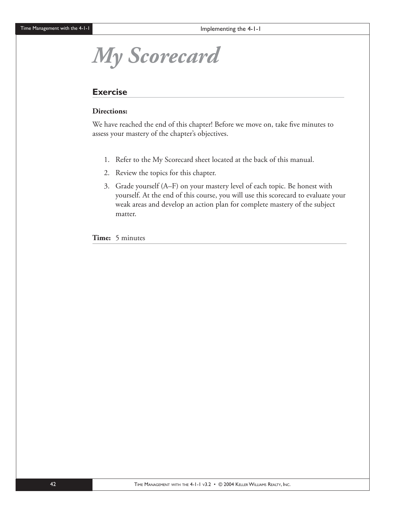# *My Scorecard*

#### **Exercise**

#### **Directions:**

We have reached the end of this chapter! Before we move on, take five minutes to assess your mastery of the chapter's objectives.

- 1. Refer to the My Scorecard sheet located at the back of this manual.
- 2. Review the topics for this chapter.
- 3. Grade yourself (A–F) on your mastery level of each topic. Be honest with yourself. At the end of this course, you will use this scorecard to evaluate your weak areas and develop an action plan for complete mastery of the subject matter.

**Time:** 5 minutes